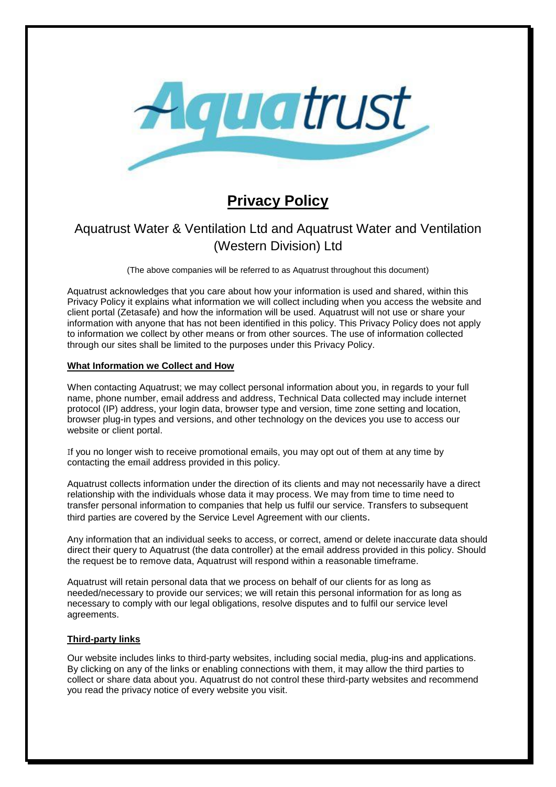

# **Privacy Policy**

## Aquatrust Water & Ventilation Ltd and Aquatrust Water and Ventilation (Western Division) Ltd

(The above companies will be referred to as Aquatrust throughout this document)

Aquatrust acknowledges that you care about how your information is used and shared, within this Privacy Policy it explains what information we will collect including when you access the website and client portal (Zetasafe) and how the information will be used. Aquatrust will not use or share your information with anyone that has not been identified in this policy. This Privacy Policy does not apply to information we collect by other means or from other sources. The use of information collected through our sites shall be limited to the purposes under this Privacy Policy.

#### **What Information we Collect and How**

When contacting Aquatrust; we may collect personal information about you, in regards to your full name, phone number, email address and address, Technical Data collected may include internet protocol (IP) address, your login data, browser type and version, time zone setting and location, browser plug-in types and versions, and other technology on the devices you use to access our website or client portal.

If you no longer wish to receive promotional emails, you may opt out of them at any time by contacting the email address provided in this policy.

Aquatrust collects information under the direction of its clients and may not necessarily have a direct relationship with the individuals whose data it may process. We may from time to time need to transfer personal information to companies that help us fulfil our service. Transfers to subsequent third parties are covered by the Service Level Agreement with our clients.

Any information that an individual seeks to access, or correct, amend or delete inaccurate data should direct their query to Aquatrust (the data controller) at the email address provided in this policy. Should the request be to remove data, Aquatrust will respond within a reasonable timeframe.

Aquatrust will retain personal data that we process on behalf of our clients for as long as needed/necessary to provide our services; we will retain this personal information for as long as necessary to comply with our legal obligations, resolve disputes and to fulfil our service level agreements.

### **Third-party links**

Our website includes links to third-party websites, including social media, plug-ins and applications. By clicking on any of the links or enabling connections with them, it may allow the third parties to collect or share data about you. Aquatrust do not control these third-party websites and recommend you read the privacy notice of every website you visit.